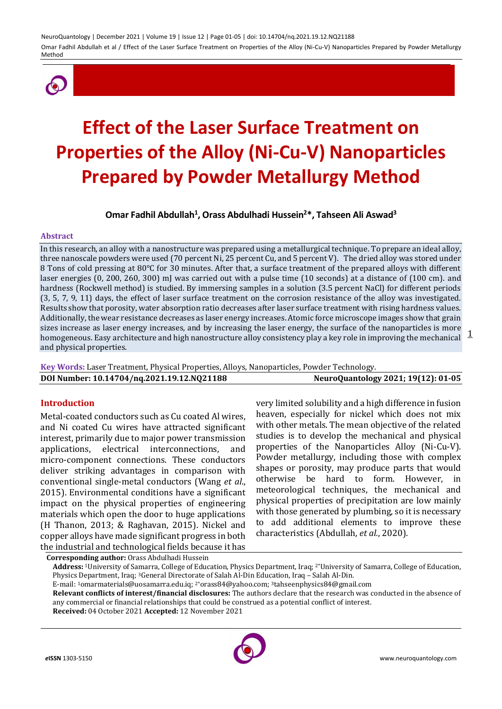

# **Effect of the Laser Surface Treatment on Properties of the Alloy (Ni-Cu-V) Nanoparticles Prepared by Powder Metallurgy Method**

**Omar Fadhil Abdullah<sup>1</sup> , Orass Abdulhadi Hussein<sup>2</sup>\*, Tahseen Ali Aswad<sup>3</sup>**

#### **Abstract**

homogeneous. Easy architecture and high nanostructure alloy consistency play a key role in improving the mechanical 1 In this research, an alloy with a nanostructure was prepared using a metallurgical technique. To prepare an ideal alloy, three nanoscale powders were used (70 percent Ni, 25 percent Cu, and 5 percent V). The dried alloy was stored under 8 Tons of cold pressing at 80°C for 30 minutes. After that, a surface treatment of the prepared alloys with different laser energies (0, 200, 260, 300) mJ was carried out with a pulse time (10 seconds) at a distance of (100 cm). and hardness (Rockwell method) is studied. By immersing samples in a solution (3.5 percent NaCl) for different periods (3, 5, 7, 9, 11) days, the effect of laser surface treatment on the corrosion resistance of the alloy was investigated. Results show that porosity, water absorption ratio decreases after laser surface treatment with rising hardness values. Additionally, the wear resistance decreases as laser energy increases. Atomic force microscope images show that grain sizes increase as laser energy increases, and by increasing the laser energy, the surface of the nanoparticles is more and physical properties.

**Key Words:** Laser Treatment, Physical Properties, Alloys, Nanoparticles, Powder Technology. **DOI Number: 10.14704/nq.2021.19.12.NQ21188 NeuroQuantology 2021; 19(12): 01-05**

### **Introduction**

Metal-coated conductors such as Cu coated Al wires, and Ni coated Cu wires have attracted significant interest, primarily due to major power transmission applications, electrical interconnections, and micro-component connections. These conductors deliver striking advantages in comparison with conventional single-metal conductors (Wang *et al*., 2015). Environmental conditions have a significant impact on the physical properties of engineering materials which open the door to huge applications (H Thanon, 2013; & Raghavan, 2015). Nickel and copper alloys have made significant progress in both the industrial and technological fields because it has

very limited solubility and a high difference in fusion heaven, especially for nickel which does not mix with other metals. The mean objective of the related studies is to develop the mechanical and physical properties of the Nanoparticles Alloy (Ni-Cu-V). Powder metallurgy, including those with complex shapes or porosity, may produce parts that would otherwise be hard to form. However, in meteorological techniques, the mechanical and physical properties of precipitation are low mainly with those generated by plumbing, so it is necessary to add additional elements to improve these characteristics (Abdullah, *et al.*, 2020).

**Corresponding author:** Orass Abdulhadi Hussein

**Address:** 1University of Samarra, College of Education, Physics Department, Iraq; 2\*University of Samarra, College of Education, Physics Department, Iraq; 3General Directorate of Salah Al-Din Education, Iraq – Salah Al-Din.

E-mail: 1[omarmaterials@uosamarra.edu.iq;](mailto:omarmaterials@uosamarra.edu.iq) 2\*[orass84@yahoo.com;](mailto:2*orass84@yahoo.com) 3tahseenphysics84@gmail.com

**Relevant conflicts of interest/financial disclosures:** The authors declare that the research was conducted in the absence of any commercial or financial relationships that could be construed as a potential conflict of interest.

**Received:** 04 October 2021 **Accepted:** 12 November 2021

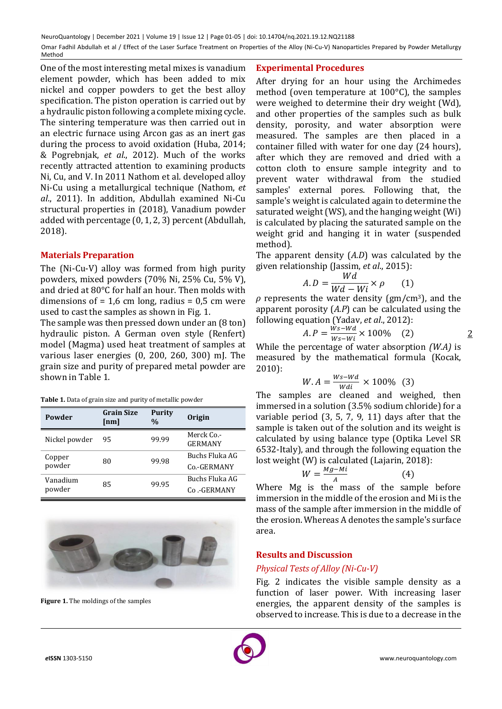One of the most interesting metal mixes is vanadium element powder, which has been added to mix nickel and copper powders to get the best alloy specification. The piston operation is carried out by a hydraulic piston following a complete mixing cycle. The sintering temperature was then carried out in an electric furnace using Arcon gas as an inert gas during the process to avoid oxidation (Huba, 2014; & Pogrebnjak, *et al*., 2012). Much of the works recently attracted attention to examining products Ni, Cu, and V. In 2011 Nathom et al. developed alloy Ni-Cu using a metallurgical technique (Nathom, *et al*., 2011). In addition, Abdullah examined Ni-Cu structural properties in (2018), Vanadium powder added with percentage (0, 1, 2, 3) percent (Abdullah, 2018).

# **Materials Preparation**

The (Ni-Cu-V) alloy was formed from high purity powders, mixed powders (70% Ni, 25% Cu, 5% V), and dried at 80°C for half an hour. Then molds with dimensions of  $= 1.6$  cm long, radius  $= 0.5$  cm were used to cast the samples as shown in Fig. 1.

The sample was then pressed down under an (8 ton) hydraulic piston. A German oven style (Renfert) model (Magma) used heat treatment of samples at various laser energies (0, 200, 260, 300) mJ. The grain size and purity of prepared metal powder are shown in Table 1.

**Table 1.** Data of grain size and purity of metallic powder

| Powder             | <b>Grain Size</b><br>[nm] | <b>Purity</b><br>$\%$ | <b>Origin</b>                |
|--------------------|---------------------------|-----------------------|------------------------------|
| Nickel powder      | 95                        | 99.99                 | Merck Co.-<br><b>GERMANY</b> |
| Copper<br>powder   | 80                        | 99.98                 | Buchs Fluka AG               |
|                    |                           |                       | Co.-GERMANY                  |
| Vanadium<br>powder | 85                        | 99.95                 | Buchs Fluka AG               |
|                    |                           |                       | Co.-GERMANY                  |



**Figure 1.** The moldings of the samples

### **Experimental Procedures**

After drying for an hour using the Archimedes method (oven temperature at 100°C), the samples were weighed to determine their dry weight (Wd), and other properties of the samples such as bulk density, porosity, and water absorption were measured. The samples are then placed in a container filled with water for one day (24 hours), after which they are removed and dried with a cotton cloth to ensure sample integrity and to prevent water withdrawal from the studied samples' external pores. Following that, the sample's weight is calculated again to determine the saturated weight (WS), and the hanging weight (Wi) is calculated by placing the saturated sample on the weight grid and hanging it in water (suspended method).

The apparent density (*A.D*) was calculated by the given relationship (Jassim, *et al*., 2015):

$$
A.D = \frac{Wd}{Wd - Wi} \times \rho \qquad (1)
$$

 $\rho$  represents the water density ( $gm/cm<sup>3</sup>$ ), and the apparent porosity (*A.P*) can be calculated using the following equation (Yadav, *et al*., 2012):

$$
A.P = \frac{\dot{w}s - Wd}{Ws - Wd} \times 100\% \quad (2)
$$

2

While the percentage of water absorption *(W.A)* is measured by the mathematical formula (Kocak, 2010):

$$
W.A = \frac{Ws - Wd}{Wdi} \times 100\% \quad (3)
$$

The samples are cleaned and weighed, then immersed in a solution (3.5% sodium chloride) for a variable period (3, 5, 7, 9, 11) days after that the sample is taken out of the solution and its weight is calculated by using balance type (Optika Level SR 6532-Italy), and through the following equation the lost weight (W) is calculated (Lajarin, 2018):

$$
W = \frac{Mg - Mi}{A}
$$
 (4)

Where Mg is the mass of the sample before immersion in the middle of the erosion and Mi is the mass of the sample after immersion in the middle of the erosion. Whereas A denotes the sample's surface area.

# **Results and Discussion**

# *Physical Tests of Alloy (Ni-Cu-V)*

Fig. 2 indicates the visible sample density as a function of laser power. With increasing laser energies, the apparent density of the samples is observed to increase. This is due to a decrease in the

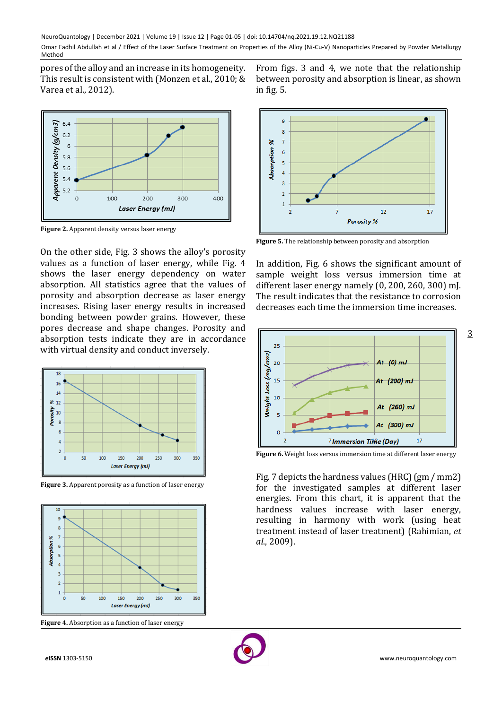pores of the alloy and an increase in its homogeneity. This result is consistent with (Monzen et al., 2010; & Varea et al., 2012).



**Figure 2.** Apparent density versus laser energy

On the other side, Fig. 3 shows the alloy's porosity values as a function of laser energy, while Fig. 4 shows the laser energy dependency on water absorption. All statistics agree that the values of porosity and absorption decrease as laser energy increases. Rising laser energy results in increased bonding between powder grains. However, these pores decrease and shape changes. Porosity and absorption tests indicate they are in accordance with virtual density and conduct inversely.



**Figure 3.** Apparent porosity as a function of laser energy



**Figure 4.** Absorption as a function of laser energy

From figs. 3 and 4, we note that the relationship between porosity and absorption is linear, as shown in fig. 5.



**Figure 5.** The relationship between porosity and absorption

In addition, Fig. 6 shows the significant amount of sample weight loss versus immersion time at different laser energy namely (0, 200, 260, 300) mJ. The result indicates that the resistance to corrosion decreases each time the immersion time increases.



**Figure 6.** Weight loss versus immersion time at different laser energy

Fig. 7 depicts the hardness values (HRC) (gm / mm2) for the investigated samples at different laser energies. From this chart, it is apparent that the hardness values increase with laser energy, resulting in harmony with work (using heat treatment instead of laser treatment) (Rahimian, *et al*., 2009).



3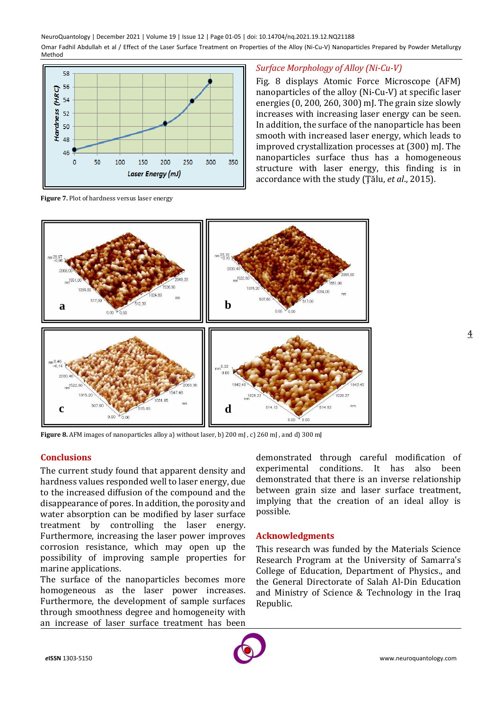

**Figure 7.** Plot of hardness versus laser energy

## *Surface Morphology of Alloy (Ni-Cu-V)*

Fig. 8 displays Atomic Force Microscope (AFM) nanoparticles of the alloy (Ni-Cu-V) at specific laser energies (0, 200, 260, 300) mJ. The grain size slowly increases with increasing laser energy can be seen. In addition, the surface of the nanoparticle has been smooth with increased laser energy, which leads to improved crystallization processes at (300) mJ. The nanoparticles surface thus has a homogeneous structure with laser energy, this finding is in accordance with the study (Ţălu, *et al*., 2015).



**Figure 8.** AFM images of nanoparticles alloy a) without laser, b) 200 mJ , c) 260 mJ , and d) 300 mJ

# **Conclusions**

The current study found that apparent density and hardness values responded well to laser energy, due to the increased diffusion of the compound and the disappearance of pores. In addition, the porosity and water absorption can be modified by laser surface treatment by controlling the laser energy. Furthermore, increasing the laser power improves corrosion resistance, which may open up the possibility of improving sample properties for marine applications.

The surface of the nanoparticles becomes more homogeneous as the laser power increases. Furthermore, the development of sample surfaces through smoothness degree and homogeneity with an increase of laser surface treatment has been

demonstrated through careful modification of experimental conditions. It has also been demonstrated that there is an inverse relationship between grain size and laser surface treatment, implying that the creation of an ideal alloy is possible.

### **Acknowledgments**

This research was funded by the Materials Science Research Program at the University of Samarra's College of Education, Department of Physics., and the General Directorate of Salah Al-Din Education and Ministry of Science & Technology in the Iraq Republic.



4